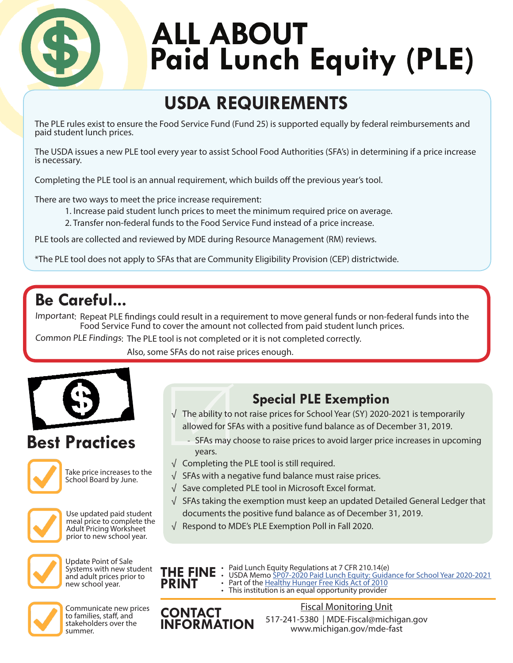

# ALL ABOUT **Paid Lunch Equity (PLE)**

## **USDA REQUIREMENTS**

The PLE rules exist to ensure the Food Service Fund (Fund 25) is supported equally by federal reimbursements and paid student lunch prices.

The USDA issues a new PLE tool every year to assist School Food Authorities (SFA's) in determining if a price increase is necessary.

Completing the PLE tool is an annual requirement, which builds off the previous year's tool.

There are two ways to meet the price increase requirement:

- 1. Increase paid student lunch prices to meet the minimum required price on average.
- 2. Transfer non-federal funds to the Food Service Fund instead of a price increase.

PLE tools are collected and reviewed by MDE during Resource Management (RM) reviews.

\*The PLE tool does not apply to SFAs that are Community Eligibility Provision (CEP) districtwide.

## **Be Careful...**

Important: Repeat PLE findings could result in a requirement to move general funds or non-federal funds into the Food Service Fund to cover the amount not collected from paid student lunch prices.

Common PLE Findings: The PLE tool is not completed or it is not completed correctly.

Also, some SFAs do not raise prices enough.



## **Best Practices**



Take price increases to the School Board by June.



Use updated paid student meal price to complete the Adult Pricing Worksheet prior to new school year.



Update Point of Sale Systems with new student and adult prices prior to new school year.



Communicate new prices to families, staff, and stakeholders over the summer.

- **Special PLE Exemption**<br>√ The ability to not raise prices for School Year (SY) 2020-2021 is temporarily allowed for SFAs with a positive fund balance as of December 31, 2019.
	- SFAs may choose to raise prices to avoid larger price increases in upcoming years.
- √ Completing the PLE tool is still required.
- $\sqrt{\ }$  SFAs with a negative fund balance must raise prices.
- √ Save completed PLE tool in Microsoft Excel format.
- √ SFAs taking the exemption must keep an updated Detailed General Ledger that documents the positive fund balance as of December 31, 2019.
- √ Respond to MDE's PLE Exemption Poll in Fall 2020.



- Paid Lunch Equity Regulations at 7 CFR 210.14(e)
	- USDA Memo [SP07-2020 Paid Lunch Equity: Guidance for School Year 2020-2021](https://www.fns.usda.gov/cn/paid-lunch-equity-guidance-school-year-2020-21)<br>• Part of the [Healthy Hunger Free Kids Act of 2010](https://www.fns.usda.gov/school-meals/healthy-hunger-free-kids-act)<br>• This institution is an equal opportunity provider
- 

**CONTACT INFORMATION** 517-241-5380 | MDE-Fiscal@michigan.gov www.michigan.gov/mde-fast Fiscal Monitoring Unit